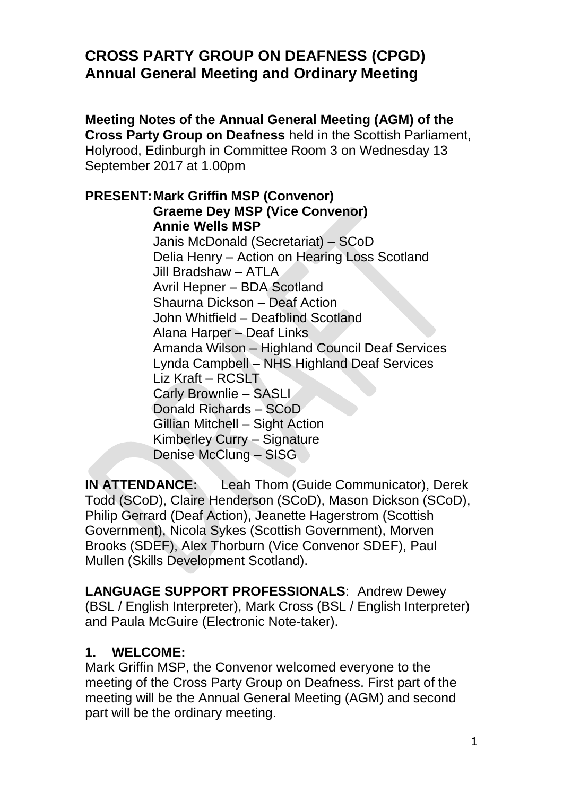# **CROSS PARTY GROUP ON DEAFNESS (CPGD) Annual General Meeting and Ordinary Meeting**

**Meeting Notes of the Annual General Meeting (AGM) of the Cross Party Group on Deafness** held in the Scottish Parliament, Holyrood, Edinburgh in Committee Room 3 on Wednesday 13 September 2017 at 1.00pm

**PRESENT:Mark Griffin MSP (Convenor) Graeme Dey MSP (Vice Convenor) Annie Wells MSP** Janis McDonald (Secretariat) – SCoD Delia Henry – Action on Hearing Loss Scotland Jill Bradshaw – ATLA Avril Hepner – BDA Scotland Shaurna Dickson – Deaf Action John Whitfield – Deafblind Scotland Alana Harper – Deaf Links Amanda Wilson – Highland Council Deaf Services Lynda Campbell – NHS Highland Deaf Services Liz Kraft – RCSLT Carly Brownlie – SASLI Donald Richards – SCoD Gillian Mitchell – Sight Action Kimberley Curry – Signature Denise McClung – SISG

**IN ATTENDANCE:** Leah Thom (Guide Communicator), Derek Todd (SCoD), Claire Henderson (SCoD), Mason Dickson (SCoD), Philip Gerrard (Deaf Action), Jeanette Hagerstrom (Scottish Government), Nicola Sykes (Scottish Government), Morven Brooks (SDEF), Alex Thorburn (Vice Convenor SDEF), Paul Mullen (Skills Development Scotland).

**LANGUAGE SUPPORT PROFESSIONALS**: Andrew Dewey (BSL / English Interpreter), Mark Cross (BSL / English Interpreter) and Paula McGuire (Electronic Note-taker).

### **1. WELCOME:**

Mark Griffin MSP, the Convenor welcomed everyone to the meeting of the Cross Party Group on Deafness. First part of the meeting will be the Annual General Meeting (AGM) and second part will be the ordinary meeting.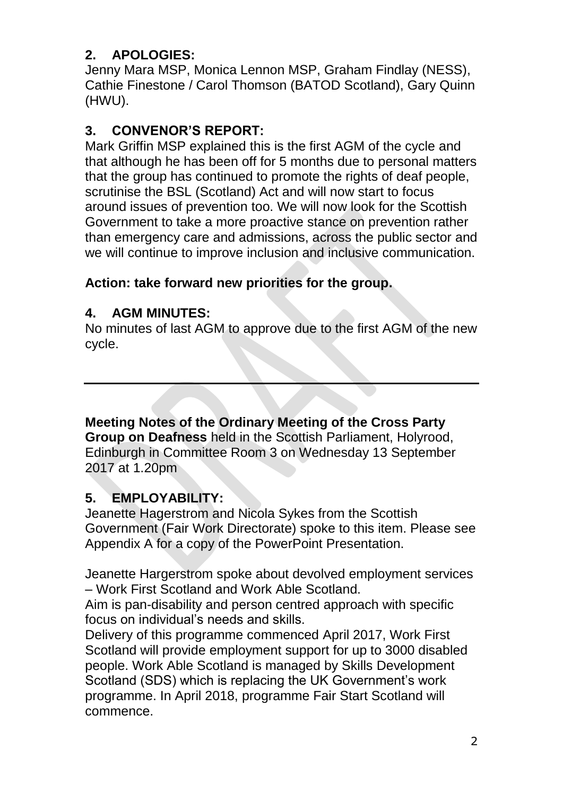# **2. APOLOGIES:**

Jenny Mara MSP, Monica Lennon MSP, Graham Findlay (NESS), Cathie Finestone / Carol Thomson (BATOD Scotland), Gary Quinn (HWU).

# **3. CONVENOR'S REPORT:**

Mark Griffin MSP explained this is the first AGM of the cycle and that although he has been off for 5 months due to personal matters that the group has continued to promote the rights of deaf people, scrutinise the BSL (Scotland) Act and will now start to focus around issues of prevention too. We will now look for the Scottish Government to take a more proactive stance on prevention rather than emergency care and admissions, across the public sector and we will continue to improve inclusion and inclusive communication.

## **Action: take forward new priorities for the group.**

### **4. AGM MINUTES:**

No minutes of last AGM to approve due to the first AGM of the new cycle.

**Meeting Notes of the Ordinary Meeting of the Cross Party Group on Deafness** held in the Scottish Parliament, Holyrood, Edinburgh in Committee Room 3 on Wednesday 13 September 2017 at 1.20pm

# **5. EMPLOYABILITY:**

Jeanette Hagerstrom and Nicola Sykes from the Scottish Government (Fair Work Directorate) spoke to this item. Please see Appendix A for a copy of the PowerPoint Presentation.

Jeanette Hargerstrom spoke about devolved employment services – Work First Scotland and Work Able Scotland.

Aim is pan-disability and person centred approach with specific focus on individual's needs and skills.

Delivery of this programme commenced April 2017, Work First Scotland will provide employment support for up to 3000 disabled people. Work Able Scotland is managed by Skills Development Scotland (SDS) which is replacing the UK Government's work programme. In April 2018, programme Fair Start Scotland will commence.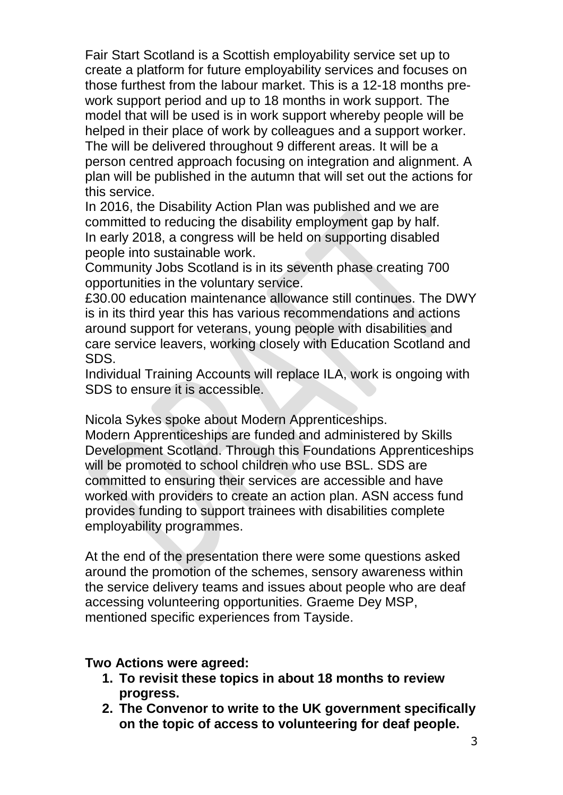Fair Start Scotland is a Scottish employability service set up to create a platform for future employability services and focuses on those furthest from the labour market. This is a 12-18 months prework support period and up to 18 months in work support. The model that will be used is in work support whereby people will be helped in their place of work by colleagues and a support worker. The will be delivered throughout 9 different areas. It will be a person centred approach focusing on integration and alignment. A plan will be published in the autumn that will set out the actions for this service.

In 2016, the Disability Action Plan was published and we are committed to reducing the disability employment gap by half. In early 2018, a congress will be held on supporting disabled people into sustainable work.

Community Jobs Scotland is in its seventh phase creating 700 opportunities in the voluntary service.

£30.00 education maintenance allowance still continues. The DWY is in its third year this has various recommendations and actions around support for veterans, young people with disabilities and care service leavers, working closely with Education Scotland and SDS.

Individual Training Accounts will replace ILA, work is ongoing with SDS to ensure it is accessible.

Nicola Sykes spoke about Modern Apprenticeships.

Modern Apprenticeships are funded and administered by Skills Development Scotland. Through this Foundations Apprenticeships will be promoted to school children who use BSL. SDS are committed to ensuring their services are accessible and have worked with providers to create an action plan. ASN access fund provides funding to support trainees with disabilities complete employability programmes.

At the end of the presentation there were some questions asked around the promotion of the schemes, sensory awareness within the service delivery teams and issues about people who are deaf accessing volunteering opportunities. Graeme Dey MSP, mentioned specific experiences from Tayside.

#### **Two Actions were agreed:**

- **1. To revisit these topics in about 18 months to review progress.**
- **2. The Convenor to write to the UK government specifically on the topic of access to volunteering for deaf people.**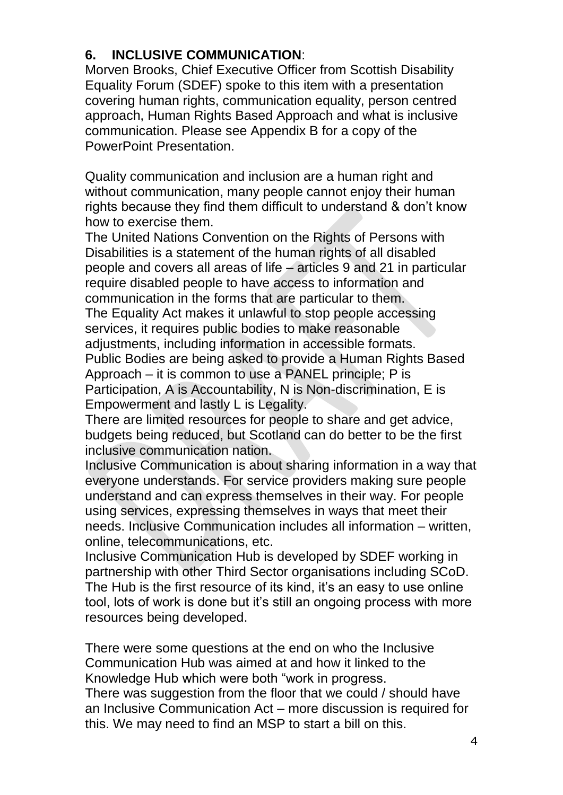## **6. INCLUSIVE COMMUNICATION**:

Morven Brooks, Chief Executive Officer from Scottish Disability Equality Forum (SDEF) spoke to this item with a presentation covering human rights, communication equality, person centred approach, Human Rights Based Approach and what is inclusive communication. Please see Appendix B for a copy of the PowerPoint Presentation.

Quality communication and inclusion are a human right and without communication, many people cannot enjoy their human rights because they find them difficult to understand & don't know how to exercise them.

The United Nations Convention on the Rights of Persons with Disabilities is a statement of the human rights of all disabled people and covers all areas of life – articles 9 and 21 in particular require disabled people to have access to information and communication in the forms that are particular to them. The Equality Act makes it unlawful to stop people accessing services, it requires public bodies to make reasonable adjustments, including information in accessible formats. Public Bodies are being asked to provide a Human Rights Based Approach – it is common to use a PANEL principle; P is Participation, A is Accountability, N is Non-discrimination, E is Empowerment and lastly L is Legality.

There are limited resources for people to share and get advice, budgets being reduced, but Scotland can do better to be the first inclusive communication nation.

Inclusive Communication is about sharing information in a way that everyone understands. For service providers making sure people understand and can express themselves in their way. For people using services, expressing themselves in ways that meet their needs. Inclusive Communication includes all information – written, online, telecommunications, etc.

Inclusive Communication Hub is developed by SDEF working in partnership with other Third Sector organisations including SCoD. The Hub is the first resource of its kind, it's an easy to use online tool, lots of work is done but it's still an ongoing process with more resources being developed.

There were some questions at the end on who the Inclusive Communication Hub was aimed at and how it linked to the Knowledge Hub which were both "work in progress.

There was suggestion from the floor that we could / should have an Inclusive Communication Act – more discussion is required for this. We may need to find an MSP to start a bill on this.